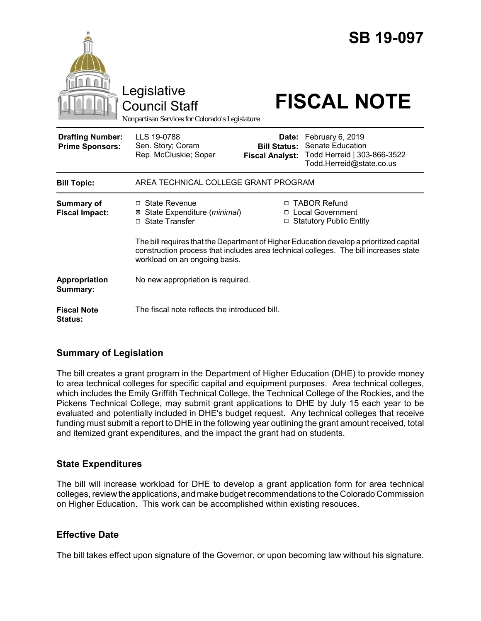|                                                   | Legislative<br><b>Council Staff</b><br>Nonpartisan Services for Colorado's Legislature                        |                                                        | <b>SB 19-097</b><br><b>FISCAL NOTE</b>                                                                                                                                                                                                                    |
|---------------------------------------------------|---------------------------------------------------------------------------------------------------------------|--------------------------------------------------------|-----------------------------------------------------------------------------------------------------------------------------------------------------------------------------------------------------------------------------------------------------------|
| <b>Drafting Number:</b><br><b>Prime Sponsors:</b> | LLS 19-0788<br>Sen. Story; Coram<br>Rep. McCluskie; Soper                                                     | Date:<br><b>Bill Status:</b><br><b>Fiscal Analyst:</b> | February 6, 2019<br>Senate Education<br>Todd Herreid   303-866-3522<br>Todd.Herreid@state.co.us                                                                                                                                                           |
| <b>Bill Topic:</b>                                | AREA TECHNICAL COLLEGE GRANT PROGRAM                                                                          |                                                        |                                                                                                                                                                                                                                                           |
| <b>Summary of</b><br><b>Fiscal Impact:</b>        | $\Box$ State Revenue<br>State Expenditure (minimal)<br>⊠<br>□ State Transfer<br>workload on an ongoing basis. | $\Box$                                                 | □ TABOR Refund<br><b>Local Government</b><br>□ Statutory Public Entity<br>The bill requires that the Department of Higher Education develop a prioritized capital<br>construction process that includes area technical colleges. The bill increases state |
| Appropriation<br>Summary:                         | No new appropriation is required.                                                                             |                                                        |                                                                                                                                                                                                                                                           |
| <b>Fiscal Note</b><br><b>Status:</b>              | The fiscal note reflects the introduced bill.                                                                 |                                                        |                                                                                                                                                                                                                                                           |

## **Summary of Legislation**

The bill creates a grant program in the Department of Higher Education (DHE) to provide money to area technical colleges for specific capital and equipment purposes. Area technical colleges, which includes the Emily Griffith Technical College, the Technical College of the Rockies, and the Pickens Technical College, may submit grant applications to DHE by July 15 each year to be evaluated and potentially included in DHE's budget request. Any technical colleges that receive funding must submit a report to DHE in the following year outlining the grant amount received, total and itemized grant expenditures, and the impact the grant had on students.

## **State Expenditures**

The bill will increase workload for DHE to develop a grant application form for area technical colleges, review the applications, and make budget recommendations to the Colorado Commission on Higher Education. This work can be accomplished within existing resouces.

## **Effective Date**

The bill takes effect upon signature of the Governor, or upon becoming law without his signature.